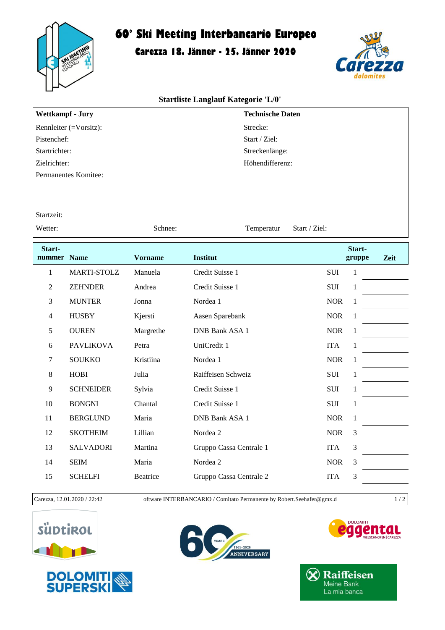

# **60° Ski Meeting Interbancario Europeo**

## **Carezza 18. Jänner - 25. Jänner 2020**



#### **Startliste Langlauf Kategorie 'L/0'**

| Wettkampf - Jury                 | <b>Technische Daten</b> |
|----------------------------------|-------------------------|
| Rennleiter $(=\text{Vorsitz})$ : | Strecke:                |
| Pistenchef:                      | Start / Ziel:           |
| Startrichter:                    | Streckenlänge:          |
| Zielrichter:                     | Höhendifferenz:         |
| Permanentes Komitee:             |                         |
|                                  |                         |

#### Startzeit:

Wetter: Schnee: Schnee: Temperatur Start / Ziel:

| Start-<br>nummer | <b>Name</b>      | <b>Vorname</b> | <b>Institut</b>         |            | Start-<br>gruppe | Zeit |
|------------------|------------------|----------------|-------------------------|------------|------------------|------|
| 1                | MARTI-STOLZ      | Manuela        | Credit Suisse 1         | <b>SUI</b> | $\mathbf{1}$     |      |
| $\overline{2}$   | <b>ZEHNDER</b>   | Andrea         | Credit Suisse 1         | <b>SUI</b> | 1                |      |
| 3                | <b>MUNTER</b>    | Jonna          | Nordea 1                | <b>NOR</b> | 1                |      |
| 4                | <b>HUSBY</b>     | Kjersti        | Aasen Sparebank         | <b>NOR</b> | 1                |      |
| 5                | <b>OUREN</b>     | Margrethe      | <b>DNB Bank ASA 1</b>   | <b>NOR</b> | 1                |      |
| 6                | <b>PAVLIKOVA</b> | Petra          | UniCredit 1             | <b>ITA</b> | 1                |      |
| 7                | <b>SOUKKO</b>    | Kristiina      | Nordea 1                | <b>NOR</b> | 1                |      |
| 8                | <b>HOBI</b>      | Julia          | Raiffeisen Schweiz      | <b>SUI</b> | 1                |      |
| 9                | <b>SCHNEIDER</b> | Sylvia         | Credit Suisse 1         | <b>SUI</b> | 1                |      |
| 10               | <b>BONGNI</b>    | Chantal        | Credit Suisse 1         | SUI        | 1                |      |
| 11               | <b>BERGLUND</b>  | Maria          | DNB Bank ASA 1          | <b>NOR</b> | 1                |      |
| 12               | <b>SKOTHEIM</b>  | Lillian        | Nordea 2                | <b>NOR</b> | 3                |      |
| 13               | <b>SALVADORI</b> | Martina        | Gruppo Cassa Centrale 1 | <b>ITA</b> | 3                |      |
| 14               | <b>SEIM</b>      | Maria          | Nordea 2                | <b>NOR</b> | $\mathfrak{Z}$   |      |
| 15               | <b>SCHELFI</b>   | Beatrice       | Gruppo Cassa Centrale 2 | <b>ITA</b> | 3                |      |
|                  |                  |                |                         |            |                  |      |



Carezza, 12.01.2020 / 22:42 oftware INTERBANCARIO / Comitato Permanente by Robert.Seehafer@gmx.d 1 / 2